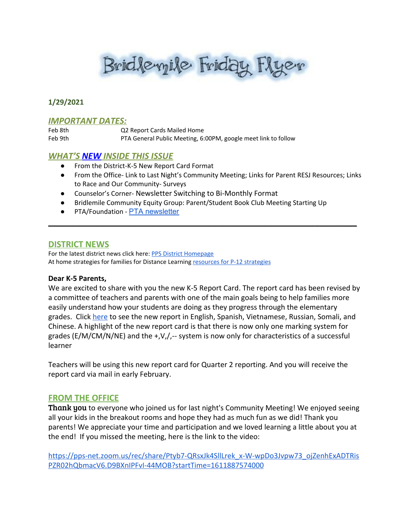Bridleyile Friday Flyer

# **1/29/2021**

### *IMPORTANT DATES:*

Feb 8th Q2 Report Cards Mailed Home Feb 9th PTA General Public Meeting, 6:00PM, google meet link to follow

# *WHAT'S NEW INSIDE THIS ISSUE*

- From the District-K-5 New Report Card Format
- From the Office- Link to Last Night's Community Meeting; Links for Parent RESJ Resources; Links to Race and Our Community- Surveys
- Counselor's Corner- Newsletter Switching to Bi-Monthly Format
- Bridlemile Community Equity Group: Parent/Student Book Club Meeting Starting Up

\_\_\_\_\_\_\_\_\_\_\_\_\_\_\_\_\_\_\_\_\_\_\_\_\_\_\_\_\_\_\_\_\_\_\_\_\_\_\_\_\_\_\_\_\_\_\_\_\_\_\_\_\_\_\_\_\_\_\_\_\_\_\_\_\_\_

● PTA/Foundation - PTA [newsletter](https://docs.google.com/document/d/e/2PACX-1vQlZCPHtKxqO7qpJwiwgoeaZ1ERHVLgg6z0JNYJMTulwn7xlOVY_X2I1ZV9nntsGHP57LEZ_uSufaFj/pub)

### **DISTRICT NEWS**

For the latest district news click here: PPS District [Homepage](https://www.pps.net/portland) At home [strategies](https://sites.google.com/pps.net/athomestrategies/home) for families for Distance Learning resources for P-12 strategies

#### **Dear K-5 Parents,**

We are excited to share with you the new K-5 Report Card. The report card has been revised by a committee of teachers and parents with one of the main goals being to help families more easily understand how your students are doing as they progress through the elementary grades. Click [here](https://www.pps.net/Page/17075) to see the new report in English, Spanish, Vietnamese, Russian, Somali, and Chinese. A highlight of the new report card is that there is now only one marking system for grades (E/M/CM/N/NE) and the  $+y$ ,  $y$ ,  $-$  system is now only for characteristics of a successful learner

Teachers will be using this new report card for Quarter 2 reporting. And you will receive the report card via mail in early February.

# **FROM THE OFFICE**

**Thank you** to everyone who joined us for last night's Community Meeting! We enjoyed seeing all your kids in the breakout rooms and hope they had as much fun as we did! Thank you parents! We appreciate your time and participation and we loved learning a little about you at the end! If you missed the meeting, here is the link to the video:

[https://pps-net.zoom.us/rec/share/Ptyb7-QRsxJk4SllLrek\\_x-W-wpDo3Jvpw73\\_ojZenhExADTRis](https://pps-net.zoom.us/rec/share/Ptyb7-QRsxJk4SllLrek_x-W-wpDo3Jvpw73_ojZenhExADTRisPZR02hQbmacV6.D9BXnIPFvI-44MOB?startTime=1611887574000) [PZR02hQbmacV6.D9BXnIPFvI-44MOB?startTime=1611887574000](https://pps-net.zoom.us/rec/share/Ptyb7-QRsxJk4SllLrek_x-W-wpDo3Jvpw73_ojZenhExADTRisPZR02hQbmacV6.D9BXnIPFvI-44MOB?startTime=1611887574000)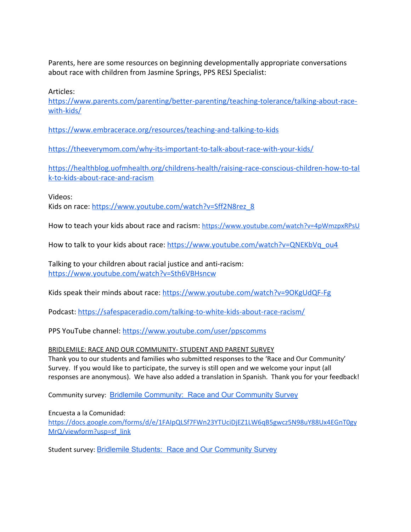Parents, here are some resources on beginning developmentally appropriate conversations about race with children from Jasmine Springs, PPS RESJ Specialist:

Articles:

[https://www.parents.com/parenting/better-parenting/teaching-tolerance/talking-about-race](https://www.parents.com/parenting/better-parenting/teaching-tolerance/talking-about-race-with-kids/)[with-kids/](https://www.parents.com/parenting/better-parenting/teaching-tolerance/talking-about-race-with-kids/)

<https://www.embracerace.org/resources/teaching-and-talking-to-kids>

<https://theeverymom.com/why-its-important-to-talk-about-race-with-your-kids/>

[https://healthblog.uofmhealth.org/childrens-health/raising-race-conscious-children-how-to-tal](https://healthblog.uofmhealth.org/childrens-health/raising-race-conscious-children-how-to-talk-to-kids-about-race-and-racism) [k-to-kids-about-race-and-racism](https://healthblog.uofmhealth.org/childrens-health/raising-race-conscious-children-how-to-talk-to-kids-about-race-and-racism)

Videos:

Kids on race: [https://www.youtube.com/watch?v=Sff2N8rez\\_8](https://www.youtube.com/watch?v=Sff2N8rez_8)

How to teach your kids about race and racism: <https://www.youtube.com/watch?v=4pWmzpxRPsU>

How to talk to your kids about race: [https://www.youtube.com/watch?v=QNEKbVq\\_ou4](https://www.youtube.com/watch?v=QNEKbVq_ou4)

Talking to your children about racial justice and anti-racism: <https://www.youtube.com/watch?v=Sth6VBHsncw>

Kids speak their minds about race:<https://www.youtube.com/watch?v=9OKgUdQF-Fg>

Podcast: <https://safespaceradio.com/talking-to-white-kids-about-race-racism/>

PPS YouTube channel: <https://www.youtube.com/user/ppscomms>

# BRIDLEMILE: RACE AND OUR COMMUNITY- STUDENT AND PARENT SURVEY

Thank you to our students and families who submitted responses to the 'Race and Our Community' Survey. If you would like to participate, the survey is still open and we welcome your input (all responses are anonymous). We have also added a translation in Spanish. Thank you for your feedback!

Community survey: Bridlemile [Community:](https://docs.google.com/forms/d/e/1FAIpQLSfa919k7eF9tjXPtdbmsWZcnl4IHh6oVLqTtgXrEsWpJA5gdQ/viewform?usp=sf_link) Race and Our Community Survey

Encuesta a la Comunidad:

[https://docs.google.com/forms/d/e/1FAIpQLSf7FWn23YTUciDjEZ1LW6qB5gwcz5N98uY88Ux4EGnT0gy](https://docs.google.com/forms/d/e/1FAIpQLSf7FWn23YTUciDjEZ1LW6qB5gwcz5N98uY88Ux4EGnT0gyMrQ/viewform?usp=sf_link) [MrQ/viewform?usp=sf\\_link](https://docs.google.com/forms/d/e/1FAIpQLSf7FWn23YTUciDjEZ1LW6qB5gwcz5N98uY88Ux4EGnT0gyMrQ/viewform?usp=sf_link)

Student survey: Bridlemile Students: Race and Our [Community](https://docs.google.com/forms/d/e/1FAIpQLSdPySVwi0tlZT61cxg-3wH-1WVYDql-0vsmAfZY4wAh_ICRNw/viewform?usp=sf_link) Survey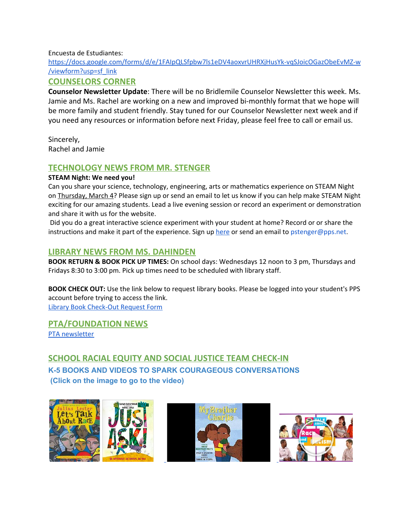# Encuesta de Estudiantes:

[https://docs.google.com/forms/d/e/1FAIpQLSfpbw7ls1eDV4aoxvrUHRXjHusYk-vqSJoicOGazObeEvMZ-w](https://docs.google.com/forms/d/e/1FAIpQLSfpbw7ls1eDV4aoxvrUHRXjHusYk-vqSJoicOGazObeEvMZ-w/viewform?usp=sf_link) [/viewform?usp=sf\\_link](https://docs.google.com/forms/d/e/1FAIpQLSfpbw7ls1eDV4aoxvrUHRXjHusYk-vqSJoicOGazObeEvMZ-w/viewform?usp=sf_link)

# **COUNSELORS CORNER**

**Counselor Newsletter Update**: There will be no Bridlemile Counselor Newsletter this week. Ms. Jamie and Ms. Rachel are working on a new and improved bi-monthly format that we hope will be more family and student friendly. Stay tuned for our Counselor Newsletter next week and if you need any resources or information before next Friday, please feel free to call or email us.

Sincerely, Rachel and Jamie

# **TECHNOLOGY NEWS FROM MR. STENGER**

# **STEAM Night: We need you!**

Can you share your science, technology, engineering, arts or mathematics experience on STEAM Night on Thursday, March 4? Please sign up or send an email to let us know if you can help make STEAM Night exciting for our amazing students. Lead a live evening session or record an experiment or demonstration and share it with us for the website.

Did you do a great interactive science experiment with your student at home? Record or or share the instructions and make it part of the experience. Sign up [here](https://docs.google.com/document/d/1GuHO96LkmsVxxVzZ0Cq97mMDchy7GQr4OvLnC6NvI2c/edit?usp=sharing) or send an email to pstenger@pps.net.

# **LIBRARY NEWS FROM MS. DAHINDEN**

**BOOK RETURN & BOOK PICK UP TIMES:** On school days: Wednesdays 12 noon to 3 pm, Thursdays and Fridays 8:30 to 3:00 pm. Pick up times need to be scheduled with library staff.

**BOOK CHECK OUT:** Use the link below to request library books. Please be logged into your student's PPS account before trying to access the link. Library Book [Check-Out](https://docs.google.com/forms/d/1xEGdx-amzrGt6XojZPw1T7-69WS4khrku0Vd_1MJj1g/edit) Request Form

**PTA/FOUNDATION NEWS**

PTA [newsletter](https://docs.google.com/document/d/e/2PACX-1vQlZCPHtKxqO7qpJwiwgoeaZ1ERHVLgg6z0JNYJMTulwn7xlOVY_X2I1ZV9nntsGHP57LEZ_uSufaFj/pub)

# **SCHOOL RACIAL EQUITY AND SOCIAL JUSTICE TEAM CHECK-IN K-5 BOOKS AND VIDEOS TO SPARK COURAGEOUS CONVERSATIONS (Click on the image to go to the video)**

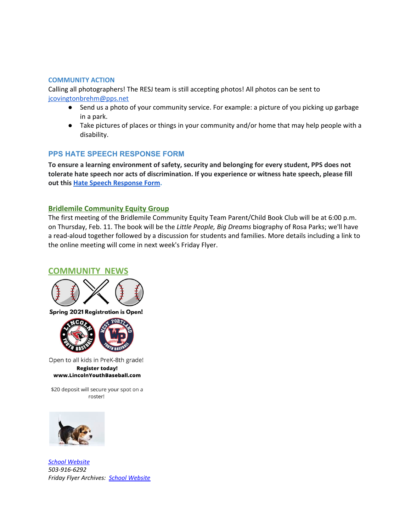#### **COMMUNITY ACTION**

Calling all photographers! The RESJ team is still accepting photos! All photos can be sent to jcovingtonbrehm@pps.net

- Send us a photo of your community service. For example: a picture of you picking up garbage in a park.
- Take pictures of places or things in your community and/or home that may help people with a disability.

# **PPS HATE SPEECH RESPONSE FORM**

**To ensure a learning environment of safety, security and belonging for every student, PPS does not tolerate hate speech nor acts of discrimination. If you experience or witness hate speech, please fill out this [H](https://docs.google.com/forms/d/e/1FAIpQLScBgOKMOV-xv4yfPk9DnciUMqkQ7E_Us3JaXcTf_lUIUmWnoA/viewform)ate Speech [Response](https://docs.google.com/forms/d/e/1FAIpQLScBgOKMOV-xv4yfPk9DnciUMqkQ7E_Us3JaXcTf_lUIUmWnoA/viewform) Form.**

### **Bridlemile Community Equity Group**

The first meeting of the Bridlemile Community Equity Team Parent/Child Book Club will be at 6:00 p.m. on Thursday, Feb. 11. The book will be the *Little People, Big Dreams* biography of Rosa Parks; we'll have a read-aloud together followed by a discussion for students and families. More details including a link to the online meeting will come in next week's Friday Flyer.

# **COMMUNITY NEWS**





Open to all kids in PreK-8th grade! **Register today!** www.LincolnYouthBaseball.com

\$20 deposit will secure your spot on a roster!



*School [Website](http://www.pps.k12.or.us/schools/bridlemile/) 503-916-6292 Friday Flyer Archives: School [Website](http://www.pps.k12.or.us/schools/bridlemile/)*